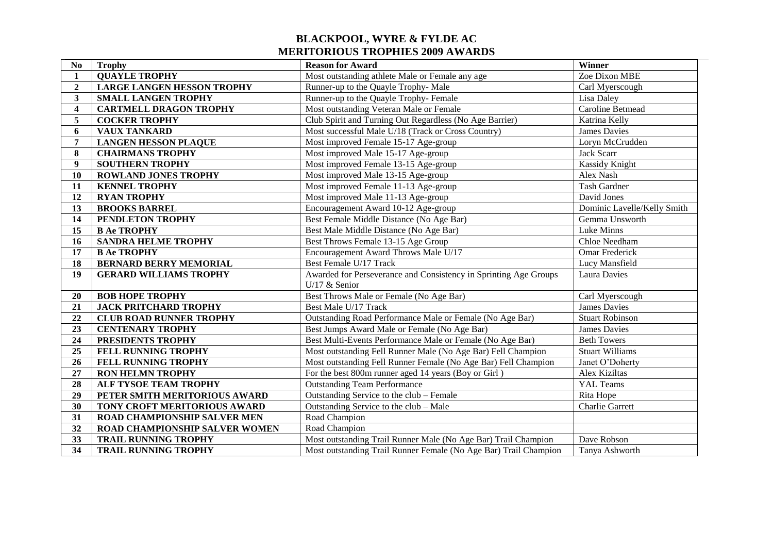## **BLACKPOOL, WYRE & FYLDE AC MERITORIOUS TROPHIES 2009 AWARDS**

| N <sub>0</sub>          | <b>Trophy</b>                     | <b>Reason for Award</b>                                          | Winner                      |
|-------------------------|-----------------------------------|------------------------------------------------------------------|-----------------------------|
| $\mathbf{1}$            | <b>QUAYLE TROPHY</b>              | Most outstanding athlete Male or Female any age                  | Zoe Dixon MBE               |
| $\overline{2}$          | <b>LARGE LANGEN HESSON TROPHY</b> | Runner-up to the Quayle Trophy- Male                             | Carl Myerscough             |
| $\mathbf{3}$            | <b>SMALL LANGEN TROPHY</b>        | Runner-up to the Quayle Trophy-Female                            | Lisa Daley                  |
| $\overline{\mathbf{4}}$ | <b>CARTMELL DRAGON TROPHY</b>     | Most outstanding Veteran Male or Female                          | Caroline Betmead            |
| $\overline{5}$          | <b>COCKER TROPHY</b>              | Club Spirit and Turning Out Regardless (No Age Barrier)          | Katrina Kelly               |
| 6                       | <b>VAUX TANKARD</b>               | Most successful Male U/18 (Track or Cross Country)               | <b>James Davies</b>         |
| $\overline{7}$          | <b>LANGEN HESSON PLAQUE</b>       | Most improved Female 15-17 Age-group                             | Loryn McCrudden             |
| 8                       | <b>CHAIRMANS TROPHY</b>           | Most improved Male 15-17 Age-group                               | Jack Scarr                  |
| 9                       | <b>SOUTHERN TROPHY</b>            | Most improved Female 13-15 Age-group                             | <b>Kassidy Knight</b>       |
| 10                      | <b>ROWLAND JONES TROPHY</b>       | Most improved Male 13-15 Age-group                               | Alex Nash                   |
| 11                      | <b>KENNEL TROPHY</b>              | Most improved Female 11-13 Age-group                             | Tash Gardner                |
| 12                      | <b>RYAN TROPHY</b>                | Most improved Male 11-13 Age-group                               | David Jones                 |
| 13                      | <b>BROOKS BARREL</b>              | Encouragement Award 10-12 Age-group                              | Dominic Lavelle/Kelly Smith |
| 14                      | PENDLETON TROPHY                  | Best Female Middle Distance (No Age Bar)                         | Gemma Unsworth              |
| 15                      | <b>B Ae TROPHY</b>                | Best Male Middle Distance (No Age Bar)                           | Luke Minns                  |
| 16                      | <b>SANDRA HELME TROPHY</b>        | Best Throws Female 13-15 Age Group                               | Chloe Needham               |
| $\overline{17}$         | <b>B Ae TROPHY</b>                | Encouragement Award Throws Male U/17                             | Omar Frederick              |
| 18                      | <b>BERNARD BERRY MEMORIAL</b>     | Best Female U/17 Track                                           | Lucy Mansfield              |
| 19                      | <b>GERARD WILLIAMS TROPHY</b>     | Awarded for Perseverance and Consistency in Sprinting Age Groups | Laura Davies                |
|                         |                                   | U/17 $&$ Senior                                                  |                             |
| 20                      | <b>BOB HOPE TROPHY</b>            | Best Throws Male or Female (No Age Bar)                          | Carl Myerscough             |
| 21                      | <b>JACK PRITCHARD TROPHY</b>      | Best Male U/17 Track                                             | <b>James Davies</b>         |
| 22                      | <b>CLUB ROAD RUNNER TROPHY</b>    | Outstanding Road Performance Male or Female (No Age Bar)         | <b>Stuart Robinson</b>      |
| 23                      | <b>CENTENARY TROPHY</b>           | Best Jumps Award Male or Female (No Age Bar)                     | James Davies                |
| 24                      | PRESIDENTS TROPHY                 | Best Multi-Events Performance Male or Female (No Age Bar)        | <b>Beth Towers</b>          |
| $\overline{25}$         | FELL RUNNING TROPHY               | Most outstanding Fell Runner Male (No Age Bar) Fell Champion     | <b>Stuart Williams</b>      |
| 26                      | FELL RUNNING TROPHY               | Most outstanding Fell Runner Female (No Age Bar) Fell Champion   | Janet O'Doherty             |
| 27                      | <b>RON HELMN TROPHY</b>           | For the best 800m runner aged 14 years (Boy or Girl)             | Alex Kiziltas               |
| 28                      | ALF TYSOE TEAM TROPHY             | <b>Outstanding Team Performance</b>                              | YAL Teams                   |
| $\overline{29}$         | PETER SMITH MERITORIOUS AWARD     | Outstanding Service to the club - Female                         | Rita Hope                   |
| 30                      | TONY CROFT MERITORIOUS AWARD      | Outstanding Service to the club - Male                           | <b>Charlie Garrett</b>      |
| 31                      | ROAD CHAMPIONSHIP SALVER MEN      | Road Champion                                                    |                             |
| 32                      | ROAD CHAMPIONSHIP SALVER WOMEN    | Road Champion                                                    |                             |
| $\overline{33}$         | <b>TRAIL RUNNING TROPHY</b>       | Most outstanding Trail Runner Male (No Age Bar) Trail Champion   | Dave Robson                 |
| 34                      | <b>TRAIL RUNNING TROPHY</b>       | Most outstanding Trail Runner Female (No Age Bar) Trail Champion | Tanya Ashworth              |